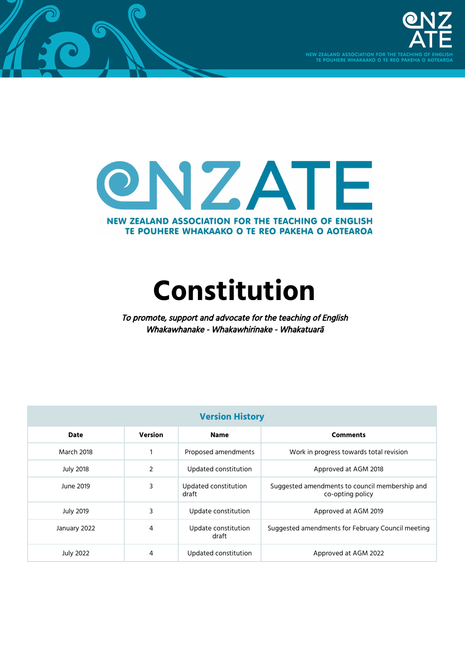



 $\cal C$ 

# **Constitution**

To promote, support and advocate for the teaching of English Whakawhanake - Whakawhirinake - Whakatuarā

| <b>Version History</b> |                |                               |                                                                    |
|------------------------|----------------|-------------------------------|--------------------------------------------------------------------|
| <b>Date</b>            | <b>Version</b> | <b>Name</b>                   | <b>Comments</b>                                                    |
| March 2018             | $\mathbf{1}$   | Proposed amendments           | Work in progress towards total revision                            |
| <b>July 2018</b>       | $\overline{2}$ | Updated constitution          | Approved at AGM 2018                                               |
| June 2019              | 3              | Updated constitution<br>draft | Suggested amendments to council membership and<br>co-opting policy |
| <b>July 2019</b>       | 3              | Update constitution           | Approved at AGM 2019                                               |
| January 2022           | 4              | Update constitution<br>draft  | Suggested amendments for February Council meeting                  |
| <b>July 2022</b>       | 4              | Updated constitution          | Approved at AGM 2022                                               |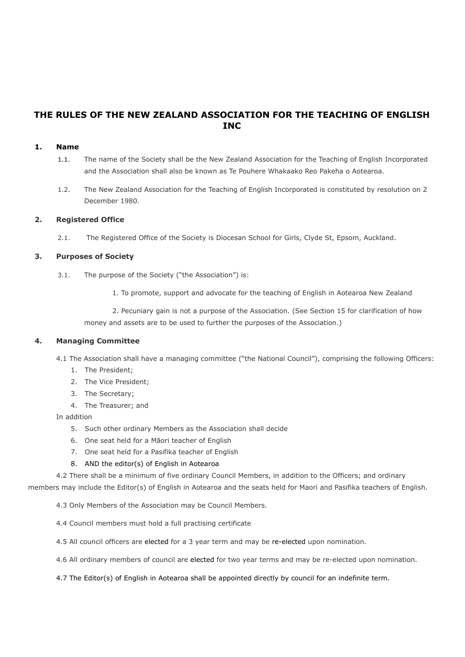# **THE RULES OF THE NEW ZEALAND ASSOCIATION FOR THE TEACHING OF ENGLISH INC**

#### **1. Name**

- 1.1. The name of the Society shall be the New Zealand Association for the Teaching of English Incorporated and the Association shall also be known as Te Pouhere Whakaako Reo Pakeha o Aotearoa.
- 1.2. The New Zealand Association for the Teaching of English Incorporated is constituted by resolution on 2 December 1980.

# **2. Registered Office**

2.1. The Registered Office of the Society is Diocesan School for Girls, Clyde St, Epsom, Auckland.

#### **3. Purposes of Society**

- 3.1. The purpose of the Society ("the Association") is:
	- 1. To promote, support and advocate for the teaching of English in Aotearoa New Zealand

2. Pecuniary gain is not a purpose of the Association. (See Section 15 for clarification of how money and assets are to be used to further the purposes of the Association.)

#### **4. Managing Committee**

4.1 The Association shall have a managing committee ("the National Council"), comprising the following Officers:

- 1. The President;
- 2. The Vice President;
- 3. The Secretary;
- 4. The Treasurer; and

#### In addition

- 5. Such other ordinary Members as the Association shall decide
- 6. One seat held for a Māori teacher of English
- 7. One seat held for a Pasifika teacher of English

#### 8. AND the editor(s) of English in Aotearoa

4.2 There shall be a minimum of five ordinary Council Members, in addition to the Officers; and ordinary

members may include the Editor(s) of English in Aotearoa and the seats held for Maori and Pasifika teachers of English.

4.3 Only Members of the Association may be Council Members.

- 4.4 Council members must hold a full practising certificate
- 4.5 All council officers are elected for a 3 year term and may be re-elected upon nomination.
- 4.6 All ordinary members of council are elected for two year terms and may be re-elected upon nomination.
- 4.7 The Editor(s) of English in Aotearoa shall be appointed directly by council for an indefinite term.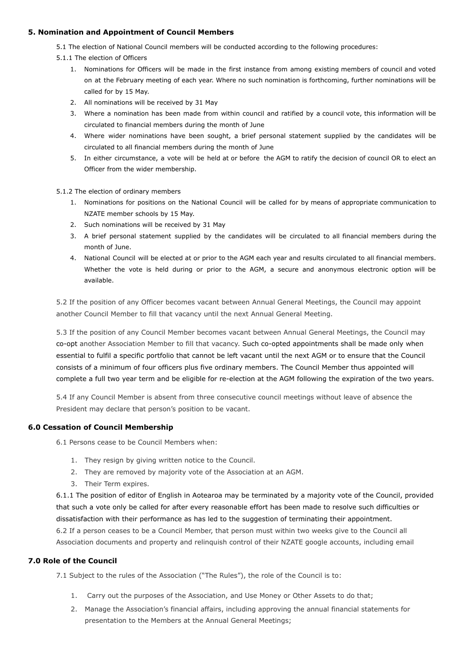#### **5. Nomination and Appointment of Council Members**

5.1 The election of National Council members will be conducted according to the following procedures:

- 5.1.1 The election of Officers
	- 1. Nominations for Officers will be made in the first instance from among existing members of council and voted on at the February meeting of each year. Where no such nomination is forthcoming, further nominations will be called for by 15 May.
	- 2. All nominations will be received by 31 May
	- 3. Where a nomination has been made from within council and ratified by a council vote, this information will be circulated to financial members during the month of June
	- 4. Where wider nominations have been sought, a brief personal statement supplied by the candidates will be circulated to all financial members during the month of June
	- 5. In either circumstance, a vote will be held at or before the AGM to ratify the decision of council OR to elect an Officer from the wider membership.
- 5.1.2 The election of ordinary members
	- 1. Nominations for positions on the National Council will be called for by means of appropriate communication to NZATE member schools by 15 May.
	- 2. Such nominations will be received by 31 May
	- 3. A brief personal statement supplied by the candidates will be circulated to all financial members during the month of June.
	- 4. National Council will be elected at or prior to the AGM each year and results circulated to all financial members. Whether the vote is held during or prior to the AGM, a secure and anonymous electronic option will be available.

5.2 If the position of any Officer becomes vacant between Annual General Meetings, the Council may appoint another Council Member to fill that vacancy until the next Annual General Meeting.

5.3 If the position of any Council Member becomes vacant between Annual General Meetings, the Council may co-opt another Association Member to fill that vacancy. Such co-opted appointments shall be made only when essential to fulfil a specific portfolio that cannot be left vacant until the next AGM or to ensure that the Council consists of a minimum of four officers plus five ordinary members. The Council Member thus appointed will complete a full two year term and be eligible for re-election at the AGM following the expiration of the two years.

5.4 If any Council Member is absent from three consecutive council meetings without leave of absence the President may declare that person's position to be vacant.

# **6.0 Cessation of Council Membership**

6.1 Persons cease to be Council Members when:

- 1. They resign by giving written notice to the Council.
- 2. They are removed by majority vote of the Association at an AGM.
- 3. Their Term expires.

6.1.1 The position of editor of English in Aotearoa may be terminated by a majority vote of the Council, provided that such a vote only be called for after every reasonable effort has been made to resolve such difficulties or dissatisfaction with their performance as has led to the suggestion of terminating their appointment. 6.2 If a person ceases to be a Council Member, that person must within two weeks give to the Council all Association documents and property and relinquish control of their NZATE google accounts, including email

# **7.0 Role of the Council**

7.1 Subject to the rules of the Association ("The Rules"), the role of the Council is to:

- 1. Carry out the purposes of the Association, and Use Money or Other Assets to do that;
- 2. Manage the Association's financial affairs, including approving the annual financial statements for presentation to the Members at the Annual General Meetings;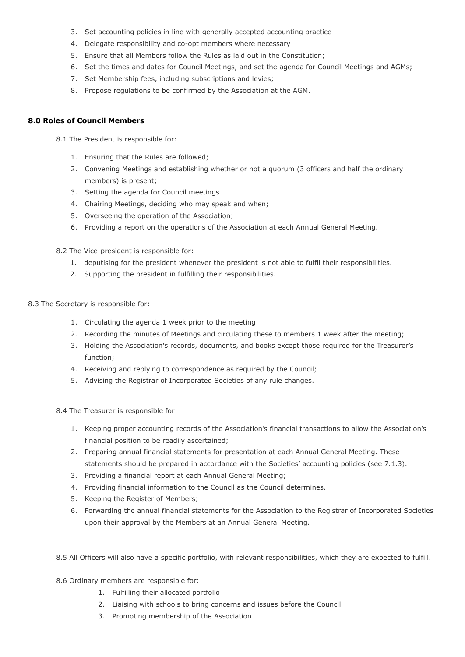- 3. Set accounting policies in line with generally accepted accounting practice
- 4. Delegate responsibility and co-opt members where necessary
- 5. Ensure that all Members follow the Rules as laid out in the Constitution;
- 6. Set the times and dates for Council Meetings, and set the agenda for Council Meetings and AGMs;
- 7. Set Membership fees, including subscriptions and levies;
- 8. Propose regulations to be confirmed by the Association at the AGM.

#### **8.0 Roles of Council Members**

8.1 The President is responsible for:

- 1. Ensuring that the Rules are followed;
- 2. Convening Meetings and establishing whether or not a quorum (3 officers and half the ordinary members) is present;
- 3. Setting the agenda for Council meetings
- 4. Chairing Meetings, deciding who may speak and when;
- 5. Overseeing the operation of the Association;
- 6. Providing a report on the operations of the Association at each Annual General Meeting.
- 8.2 The Vice-president is responsible for:
	- 1. deputising for the president whenever the president is not able to fulfil their responsibilities.
	- 2. Supporting the president in fulfilling their responsibilities.
- 8.3 The Secretary is responsible for:
	- 1. Circulating the agenda 1 week prior to the meeting
	- 2. Recording the minutes of Meetings and circulating these to members 1 week after the meeting;
	- 3. Holding the Association's records, documents, and books except those required for the Treasurer's function;
	- 4. Receiving and replying to correspondence as required by the Council;
	- 5. Advising the Registrar of Incorporated Societies of any rule changes.

8.4 The Treasurer is responsible for:

- 1. Keeping proper accounting records of the Association's financial transactions to allow the Association's financial position to be readily ascertained;
- 2. Preparing annual financial statements for presentation at each Annual General Meeting. These statements should be prepared in accordance with the Societies' accounting policies (see 7.1.3).
- 3. Providing a financial report at each Annual General Meeting;
- 4. Providing financial information to the Council as the Council determines.
- 5. Keeping the Register of Members;
- 6. Forwarding the annual financial statements for the Association to the Registrar of Incorporated Societies upon their approval by the Members at an Annual General Meeting.
- 8.5 All Officers will also have a specific portfolio, with relevant responsibilities, which they are expected to fulfill.
- 8.6 Ordinary members are responsible for:
	- 1. Fulfilling their allocated portfolio
	- 2. Liaising with schools to bring concerns and issues before the Council
	- 3. Promoting membership of the Association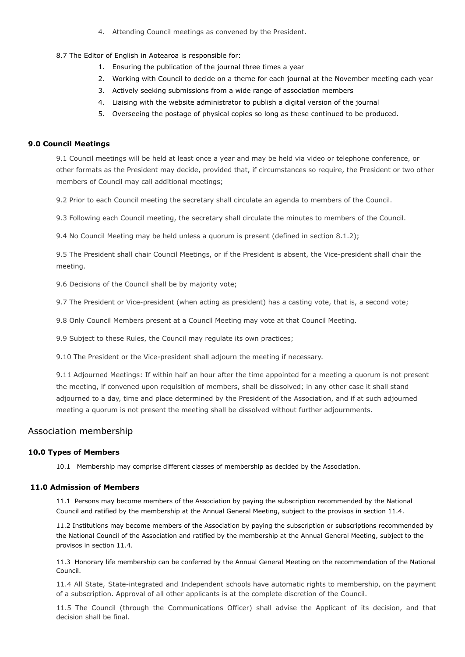4. Attending Council meetings as convened by the President.

#### 8.7 The Editor of English in Aotearoa is responsible for:

- 1. Ensuring the publication of the journal three times a year
- 2. Working with Council to decide on a theme for each journal at the November meeting each year
- 3. Actively seeking submissions from a wide range of association members
- 4. Liaising with the website administrator to publish a digital version of the journal
- 5. Overseeing the postage of physical copies so long as these continued to be produced.

#### **9.0 Council Meetings**

9.1 Council meetings will be held at least once a year and may be held via video or telephone conference, or other formats as the President may decide, provided that, if circumstances so require, the President or two other members of Council may call additional meetings;

9.2 Prior to each Council meeting the secretary shall circulate an agenda to members of the Council.

9.3 Following each Council meeting, the secretary shall circulate the minutes to members of the Council.

9.4 No Council Meeting may be held unless a quorum is present (defined in section 8.1.2);

9.5 The President shall chair Council Meetings, or if the President is absent, the Vice-president shall chair the meeting.

9.6 Decisions of the Council shall be by majority vote;

9.7 The President or Vice-president (when acting as president) has a casting vote, that is, a second vote;

9.8 Only Council Members present at a Council Meeting may vote at that Council Meeting.

9.9 Subject to these Rules, the Council may regulate its own practices;

9.10 The President or the Vice-president shall adjourn the meeting if necessary.

9.11 Adjourned Meetings: If within half an hour after the time appointed for a meeting a quorum is not present the meeting, if convened upon requisition of members, shall be dissolved; in any other case it shall stand adjourned to a day, time and place determined by the President of the Association, and if at such adjourned meeting a quorum is not present the meeting shall be dissolved without further adjournments.

#### Association membership

#### **10.0 Types of Members**

10.1 Membership may comprise different classes of membership as decided by the Association.

#### **11.0 Admission of Members**

11.1 Persons may become members of the Association by paying the subscription recommended by the National Council and ratified by the membership at the Annual General Meeting, subject to the provisos in section 11.4.

11.2 Institutions may become members of the Association by paying the subscription or subscriptions recommended by the National Council of the Association and ratified by the membership at the Annual General Meeting, subject to the provisos in section 11.4.

11.3 Honorary life membership can be conferred by the Annual General Meeting on the recommendation of the National Council.

11.4 All State, State-integrated and Independent schools have automatic rights to membership, on the payment of a subscription. Approval of all other applicants is at the complete discretion of the Council.

11.5 The Council (through the Communications Officer) shall advise the Applicant of its decision, and that decision shall be final.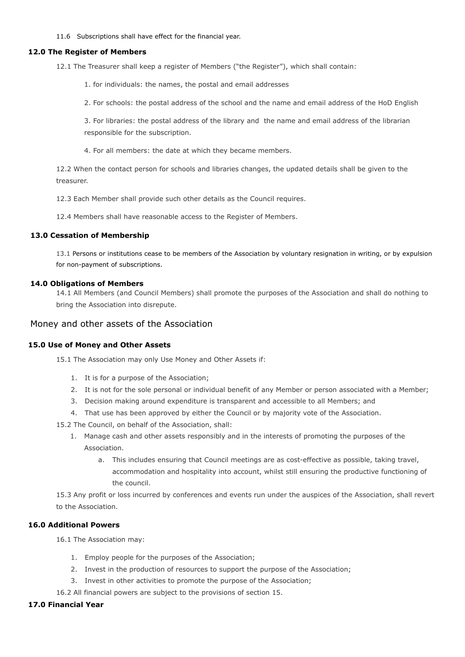11.6 Subscriptions shall have effect for the financial year.

#### **12.0 The Register of Members**

12.1 The Treasurer shall keep a register of Members ("the Register"), which shall contain:

1. for individuals: the names, the postal and email addresses

2. For schools: the postal address of the school and the name and email address of the HoD English

3. For libraries: the postal address of the library and the name and email address of the librarian responsible for the subscription.

4. For all members: the date at which they became members.

12.2 When the contact person for schools and libraries changes, the updated details shall be given to the treasurer.

12.3 Each Member shall provide such other details as the Council requires.

12.4 Members shall have reasonable access to the Register of Members.

#### **13.0 Cessation of Membership**

13.1 Persons or institutions cease to be members of the Association by voluntary resignation in writing, or by expulsion for non-payment of subscriptions.

#### **14.0 Obligations of Members**

14.1 All Members (and Council Members) shall promote the purposes of the Association and shall do nothing to bring the Association into disrepute.

#### Money and other assets of the Association

#### **15.0 Use of Money and Other Assets**

15.1 The Association may only Use Money and Other Assets if:

- 1. It is for a purpose of the Association;
- 2. It is not for the sole personal or individual benefit of any Member or person associated with a Member;
- 3. Decision making around expenditure is transparent and accessible to all Members; and
- 4. That use has been approved by either the Council or by majority vote of the Association.

15.2 The Council, on behalf of the Association, shall:

- 1. Manage cash and other assets responsibly and in the interests of promoting the purposes of the Association.
	- a. This includes ensuring that Council meetings are as cost-effective as possible, taking travel, accommodation and hospitality into account, whilst still ensuring the productive functioning of the council.

15.3 Any profit or loss incurred by conferences and events run under the auspices of the Association, shall revert to the Association.

### **16.0 Additional Powers**

16.1 The Association may:

- 1. Employ people for the purposes of the Association;
- 2. Invest in the production of resources to support the purpose of the Association;
- 3. Invest in other activities to promote the purpose of the Association;

16.2 All financial powers are subject to the provisions of section 15.

#### **17.0 Financial Year**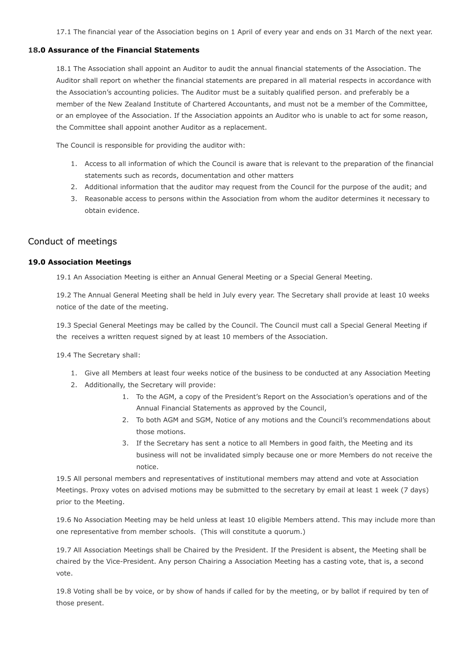17.1 The financial year of the Association begins on 1 April of every year and ends on 31 March of the next year.

#### **18.0 Assurance of the Financial Statements**

18.1 The Association shall appoint an Auditor to audit the annual financial statements of the Association. The Auditor shall report on whether the financial statements are prepared in all material respects in accordance with the Association's accounting policies. The Auditor must be a suitably qualified person. and preferably be a member of the New Zealand Institute of Chartered Accountants, and must not be a member of the Committee, or an employee of the Association. If the Association appoints an Auditor who is unable to act for some reason, the Committee shall appoint another Auditor as a replacement.

The Council is responsible for providing the auditor with:

- 1. Access to all information of which the Council is aware that is relevant to the preparation of the financial statements such as records, documentation and other matters
- 2. Additional information that the auditor may request from the Council for the purpose of the audit; and
- 3. Reasonable access to persons within the Association from whom the auditor determines it necessary to obtain evidence.

# Conduct of meetings

#### **19.0 Association Meetings**

19.1 An Association Meeting is either an Annual General Meeting or a Special General Meeting.

19.2 The Annual General Meeting shall be held in July every year. The Secretary shall provide at least 10 weeks notice of the date of the meeting.

19.3 Special General Meetings may be called by the Council. The Council must call a Special General Meeting if the receives a written request signed by at least 10 members of the Association.

19.4 The Secretary shall:

- 1. Give all Members at least four weeks notice of the business to be conducted at any Association Meeting
- 2. Additionally, the Secretary will provide:
	- 1. To the AGM, a copy of the President's Report on the Association's operations and of the Annual Financial Statements as approved by the Council,
	- 2. To both AGM and SGM, Notice of any motions and the Council's recommendations about those motions.
	- 3. If the Secretary has sent a notice to all Members in good faith, the Meeting and its business will not be invalidated simply because one or more Members do not receive the notice.

19.5 All personal members and representatives of institutional members may attend and vote at Association Meetings. Proxy votes on advised motions may be submitted to the secretary by email at least 1 week (7 days) prior to the Meeting.

19.6 No Association Meeting may be held unless at least 10 eligible Members attend. This may include more than one representative from member schools. (This will constitute a quorum.)

19.7 All Association Meetings shall be Chaired by the President. If the President is absent, the Meeting shall be chaired by the Vice-President. Any person Chairing a Association Meeting has a casting vote, that is, a second vote.

19.8 Voting shall be by voice, or by show of hands if called for by the meeting, or by ballot if required by ten of those present.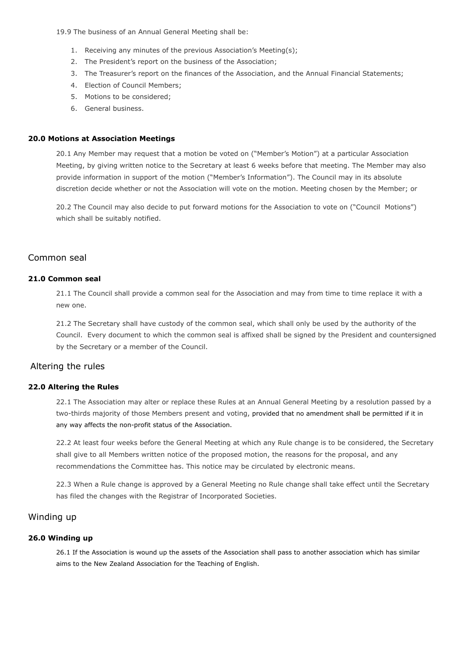19.9 The business of an Annual General Meeting shall be:

- 1. Receiving any minutes of the previous Association's Meeting(s);
- 2. The President's report on the business of the Association;
- 3. The Treasurer's report on the finances of the Association, and the Annual Financial Statements;
- 4. Election of Council Members;
- 5. Motions to be considered;
- 6. General business.

#### **20.0 Motions at Association Meetings**

20.1 Any Member may request that a motion be voted on ("Member's Motion") at a particular Association Meeting, by giving written notice to the Secretary at least 6 weeks before that meeting. The Member may also provide information in support of the motion ("Member's Information"). The Council may in its absolute discretion decide whether or not the Association will vote on the motion. Meeting chosen by the Member; or

20.2 The Council may also decide to put forward motions for the Association to vote on ("Council Motions") which shall be suitably notified.

# Common seal

#### **21.0 Common seal**

21.1 The Council shall provide a common seal for the Association and may from time to time replace it with a new one.

21.2 The Secretary shall have custody of the common seal, which shall only be used by the authority of the Council. Every document to which the common seal is affixed shall be signed by the President and countersigned by the Secretary or a member of the Council.

# Altering the rules

#### **22.0 Altering the Rules**

22.1 The Association may alter or replace these Rules at an Annual General Meeting by a resolution passed by a two-thirds majority of those Members present and voting, provided that no amendment shall be permitted if it in any way affects the non-profit status of the Association.

22.2 At least four weeks before the General Meeting at which any Rule change is to be considered, the Secretary shall give to all Members written notice of the proposed motion, the reasons for the proposal, and any recommendations the Committee has. This notice may be circulated by electronic means.

22.3 When a Rule change is approved by a General Meeting no Rule change shall take effect until the Secretary has filed the changes with the Registrar of Incorporated Societies.

# Winding up

#### **26.0 Winding up**

26.1 If the Association is wound up the assets of the Association shall pass to another association which has similar aims to the New Zealand Association for the Teaching of English.